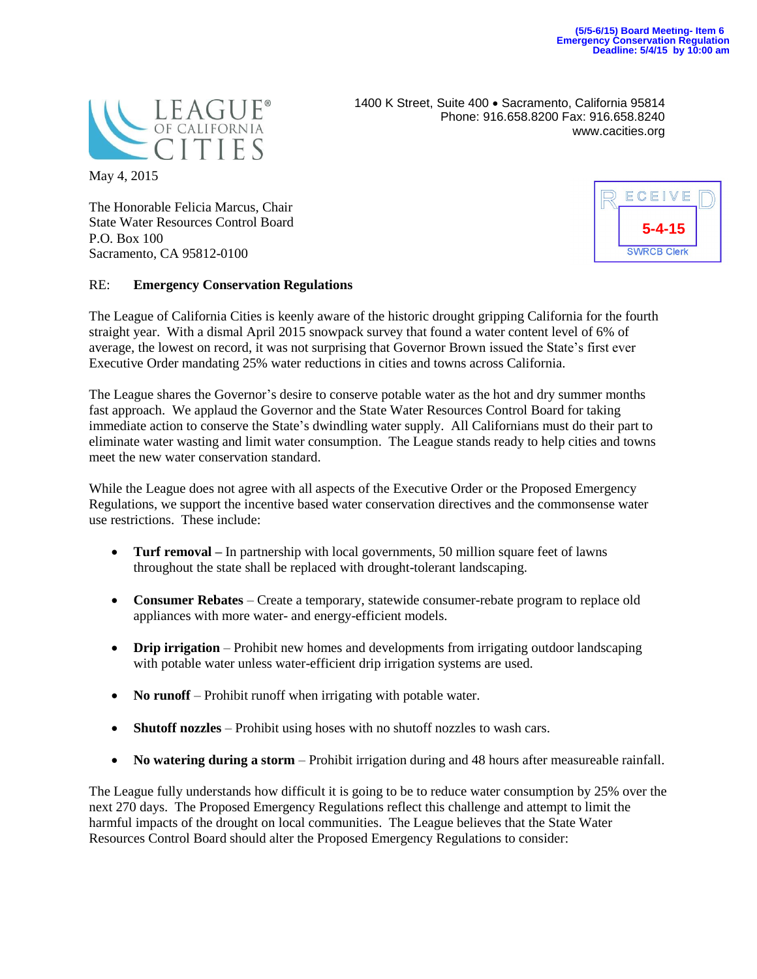

1400 K Street, Suite 400 · Sacramento, California 95814 Phone: 916.658.8200 Fax: 916.658.8240 www.cacities.org

May 4, 2015

The Honorable Felicia Marcus, Chair State Water Resources Control Board P.O. Box 100 Sacramento, CA 95812-0100

## RE: **Emergency Conservation Regulations**

The League of California Cities is keenly aware of the historic drought gripping California for the fourth straight year. With a dismal April 2015 snowpack survey that found a water content level of 6% of average, the lowest on record, it was not surprising that Governor Brown issued the State's first ever Executive Order mandating 25% water reductions in cities and towns across California.

The League shares the Governor's desire to conserve potable water as the hot and dry summer months fast approach. We applaud the Governor and the State Water Resources Control Board for taking immediate action to conserve the State's dwindling water supply. All Californians must do their part to eliminate water wasting and limit water consumption. The League stands ready to help cities and towns meet the new water conservation standard.

While the League does not agree with all aspects of the Executive Order or the Proposed Emergency Regulations, we support the incentive based water conservation directives and the commonsense water use restrictions. These include:

- **Turf removal** In partnership with local governments, 50 million square feet of lawns throughout the state shall be replaced with drought-tolerant landscaping.
- **Consumer Rebates** Create a temporary, statewide consumer-rebate program to replace old appliances with more water- and energy-efficient models.
- **Drip irrigation** Prohibit new homes and developments from irrigating outdoor landscaping with potable water unless water-efficient drip irrigation systems are used.
- No runoff Prohibit runoff when irrigating with potable water.
- **Shutoff nozzles** Prohibit using hoses with no shutoff nozzles to wash cars.
- **No watering during a storm**  Prohibit irrigation during and 48 hours after measureable rainfall.

The League fully understands how difficult it is going to be to reduce water consumption by 25% over the next 270 days. The Proposed Emergency Regulations reflect this challenge and attempt to limit the harmful impacts of the drought on local communities. The League believes that the State Water Resources Control Board should alter the Proposed Emergency Regulations to consider: